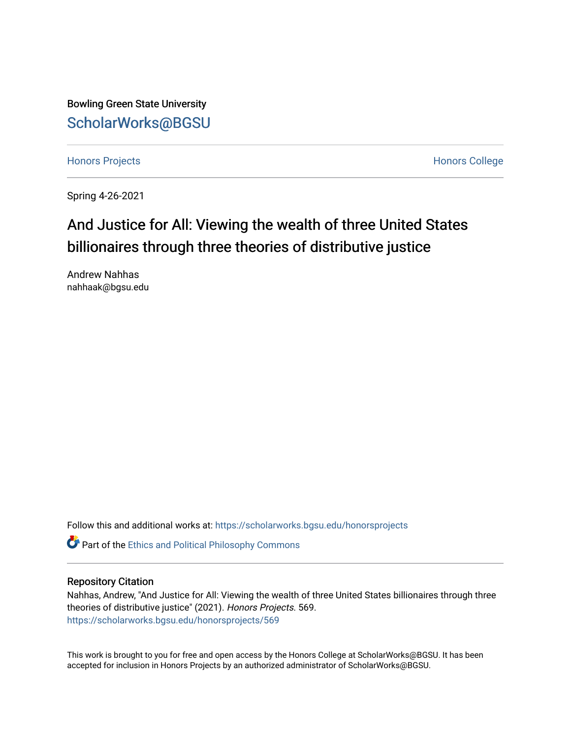Bowling Green State University [ScholarWorks@BGSU](https://scholarworks.bgsu.edu/) 

[Honors Projects](https://scholarworks.bgsu.edu/honorsprojects) **Honors** College

Spring 4-26-2021

# And Justice for All: Viewing the wealth of three United States billionaires through three theories of distributive justice

Andrew Nahhas nahhaak@bgsu.edu

Follow this and additional works at: [https://scholarworks.bgsu.edu/honorsprojects](https://scholarworks.bgsu.edu/honorsprojects?utm_source=scholarworks.bgsu.edu%2Fhonorsprojects%2F569&utm_medium=PDF&utm_campaign=PDFCoverPages) 

Part of the [Ethics and Political Philosophy Commons](http://network.bepress.com/hgg/discipline/529?utm_source=scholarworks.bgsu.edu%2Fhonorsprojects%2F569&utm_medium=PDF&utm_campaign=PDFCoverPages) 

# Repository Citation

Nahhas, Andrew, "And Justice for All: Viewing the wealth of three United States billionaires through three theories of distributive justice" (2021). Honors Projects. 569. [https://scholarworks.bgsu.edu/honorsprojects/569](https://scholarworks.bgsu.edu/honorsprojects/569?utm_source=scholarworks.bgsu.edu%2Fhonorsprojects%2F569&utm_medium=PDF&utm_campaign=PDFCoverPages) 

This work is brought to you for free and open access by the Honors College at ScholarWorks@BGSU. It has been accepted for inclusion in Honors Projects by an authorized administrator of ScholarWorks@BGSU.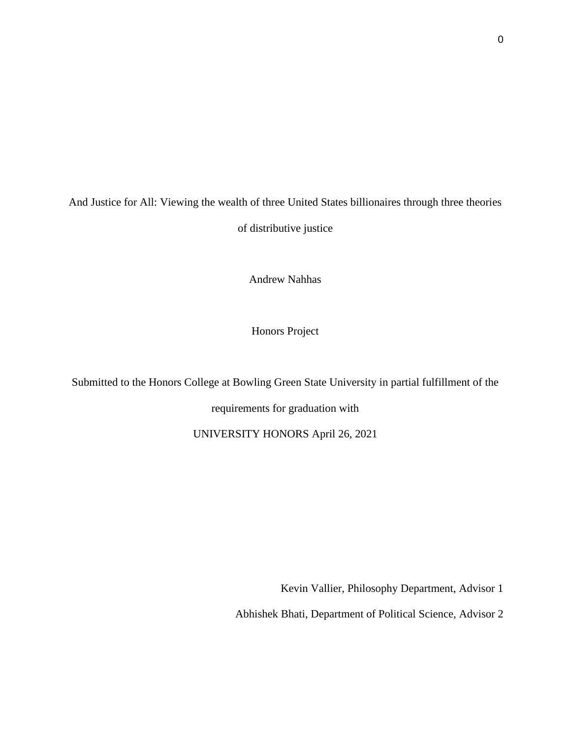And Justice for All: Viewing the wealth of three United States billionaires through three theories of distributive justice

Andrew Nahhas

Honors Project

Submitted to the Honors College at Bowling Green State University in partial fulfillment of the requirements for graduation with

UNIVERSITY HONORS April 26, 2021

Kevin Vallier, Philosophy Department, Advisor 1

Abhishek Bhati, Department of Political Science, Advisor 2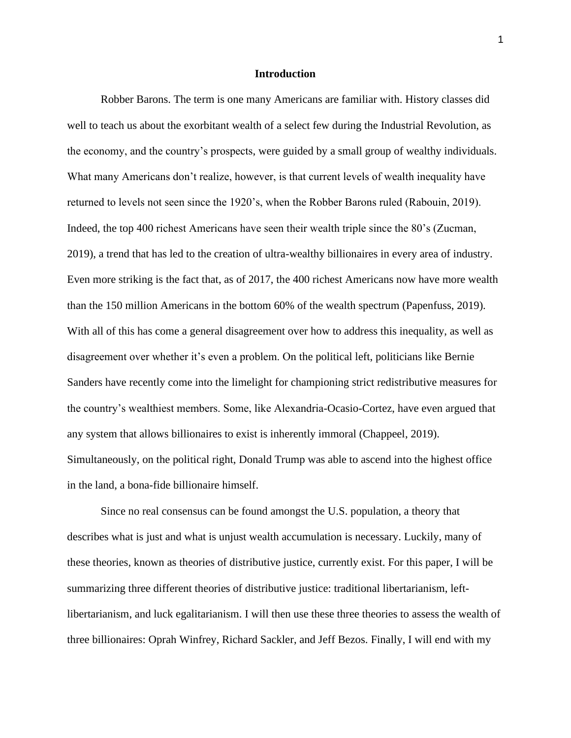#### **Introduction**

Robber Barons. The term is one many Americans are familiar with. History classes did well to teach us about the exorbitant wealth of a select few during the Industrial Revolution, as the economy, and the country's prospects, were guided by a small group of wealthy individuals. What many Americans don't realize, however, is that current levels of wealth inequality have returned to levels not seen since the 1920's, when the Robber Barons ruled (Rabouin, 2019). Indeed, the top 400 richest Americans have seen their wealth triple since the 80's (Zucman, 2019), a trend that has led to the creation of ultra-wealthy billionaires in every area of industry. Even more striking is the fact that, as of 2017, the 400 richest Americans now have more wealth than the 150 million Americans in the bottom 60% of the wealth spectrum (Papenfuss, 2019). With all of this has come a general disagreement over how to address this inequality, as well as disagreement over whether it's even a problem. On the political left, politicians like Bernie Sanders have recently come into the limelight for championing strict redistributive measures for the country's wealthiest members. Some, like Alexandria-Ocasio-Cortez, have even argued that any system that allows billionaires to exist is inherently immoral (Chappeel, 2019). Simultaneously, on the political right, Donald Trump was able to ascend into the highest office in the land, a bona-fide billionaire himself.

Since no real consensus can be found amongst the U.S. population, a theory that describes what is just and what is unjust wealth accumulation is necessary. Luckily, many of these theories, known as theories of distributive justice, currently exist. For this paper, I will be summarizing three different theories of distributive justice: traditional libertarianism, leftlibertarianism, and luck egalitarianism. I will then use these three theories to assess the wealth of three billionaires: Oprah Winfrey, Richard Sackler, and Jeff Bezos. Finally, I will end with my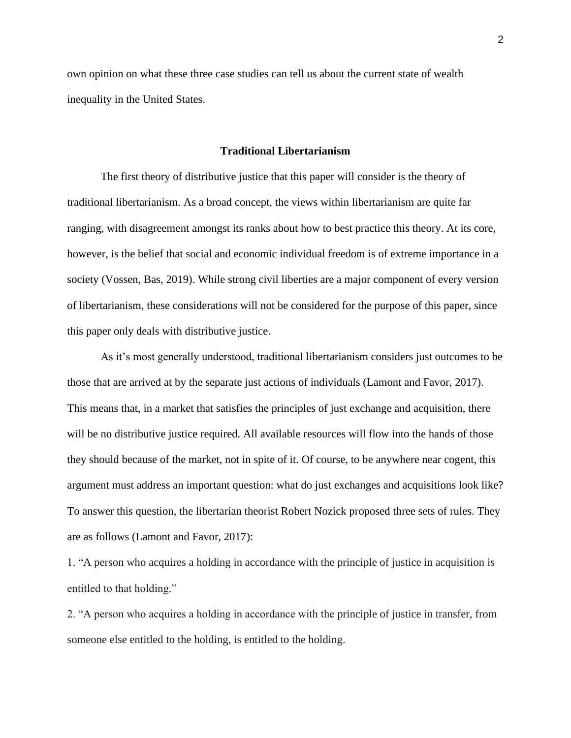own opinion on what these three case studies can tell us about the current state of wealth inequality in the United States.

#### **Traditional Libertarianism**

The first theory of distributive justice that this paper will consider is the theory of traditional libertarianism. As a broad concept, the views within libertarianism are quite far ranging, with disagreement amongst its ranks about how to best practice this theory. At its core, however, is the belief that social and economic individual freedom is of extreme importance in a society (Vossen, Bas, 2019). While strong civil liberties are a major component of every version of libertarianism, these considerations will not be considered for the purpose of this paper, since this paper only deals with distributive justice.

As it's most generally understood, traditional libertarianism considers just outcomes to be those that are arrived at by the separate just actions of individuals (Lamont and Favor, 2017). This means that, in a market that satisfies the principles of just exchange and acquisition, there will be no distributive justice required. All available resources will flow into the hands of those they should because of the market, not in spite of it. Of course, to be anywhere near cogent, this argument must address an important question: what do just exchanges and acquisitions look like? To answer this question, the libertarian theorist Robert Nozick proposed three sets of rules. They are as follows (Lamont and Favor, 2017):

1. "A person who acquires a holding in accordance with the principle of justice in acquisition is entitled to that holding."

2. "A person who acquires a holding in accordance with the principle of justice in transfer, from someone else entitled to the holding, is entitled to the holding.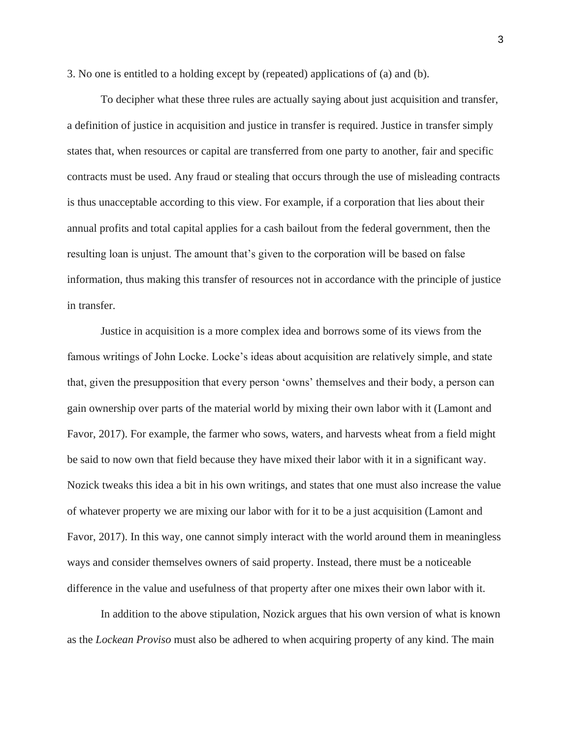3. No one is entitled to a holding except by (repeated) applications of (a) and (b).

To decipher what these three rules are actually saying about just acquisition and transfer, a definition of justice in acquisition and justice in transfer is required. Justice in transfer simply states that, when resources or capital are transferred from one party to another, fair and specific contracts must be used. Any fraud or stealing that occurs through the use of misleading contracts is thus unacceptable according to this view. For example, if a corporation that lies about their annual profits and total capital applies for a cash bailout from the federal government, then the resulting loan is unjust. The amount that's given to the corporation will be based on false information, thus making this transfer of resources not in accordance with the principle of justice in transfer.

Justice in acquisition is a more complex idea and borrows some of its views from the famous writings of John Locke. Locke's ideas about acquisition are relatively simple, and state that, given the presupposition that every person 'owns' themselves and their body, a person can gain ownership over parts of the material world by mixing their own labor with it (Lamont and Favor, 2017). For example, the farmer who sows, waters, and harvests wheat from a field might be said to now own that field because they have mixed their labor with it in a significant way. Nozick tweaks this idea a bit in his own writings, and states that one must also increase the value of whatever property we are mixing our labor with for it to be a just acquisition (Lamont and Favor, 2017). In this way, one cannot simply interact with the world around them in meaningless ways and consider themselves owners of said property. Instead, there must be a noticeable difference in the value and usefulness of that property after one mixes their own labor with it.

In addition to the above stipulation, Nozick argues that his own version of what is known as the *Lockean Proviso* must also be adhered to when acquiring property of any kind. The main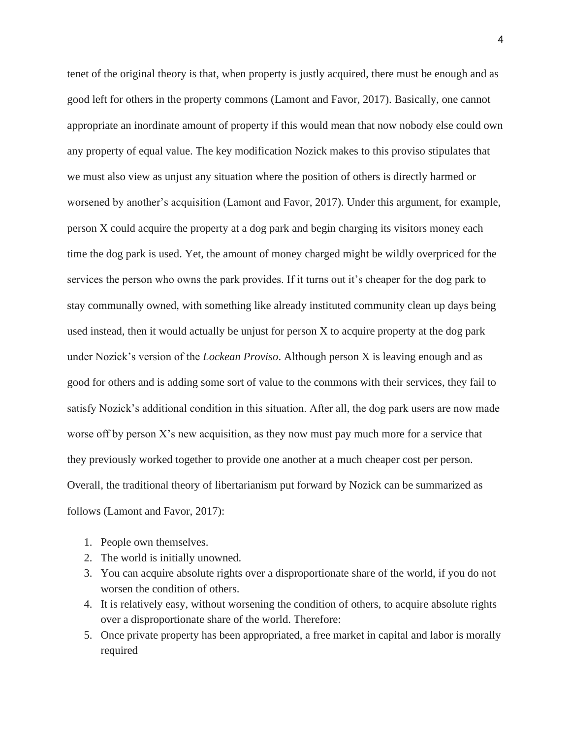tenet of the original theory is that, when property is justly acquired, there must be enough and as good left for others in the property commons (Lamont and Favor, 2017). Basically, one cannot appropriate an inordinate amount of property if this would mean that now nobody else could own any property of equal value. The key modification Nozick makes to this proviso stipulates that we must also view as unjust any situation where the position of others is directly harmed or worsened by another's acquisition (Lamont and Favor, 2017). Under this argument, for example, person X could acquire the property at a dog park and begin charging its visitors money each time the dog park is used. Yet, the amount of money charged might be wildly overpriced for the services the person who owns the park provides. If it turns out it's cheaper for the dog park to stay communally owned, with something like already instituted community clean up days being used instead, then it would actually be unjust for person X to acquire property at the dog park under Nozick's version of the *Lockean Proviso*. Although person X is leaving enough and as good for others and is adding some sort of value to the commons with their services, they fail to satisfy Nozick's additional condition in this situation. After all, the dog park users are now made worse off by person X's new acquisition, as they now must pay much more for a service that they previously worked together to provide one another at a much cheaper cost per person. Overall, the traditional theory of libertarianism put forward by Nozick can be summarized as follows (Lamont and Favor, 2017):

- 1. People own themselves.
- 2. The world is initially unowned.
- 3. You can acquire absolute rights over a disproportionate share of the world, if you do not worsen the condition of others.
- 4. It is relatively easy, without worsening the condition of others, to acquire absolute rights over a disproportionate share of the world. Therefore:
- 5. Once private property has been appropriated, a free market in capital and labor is morally required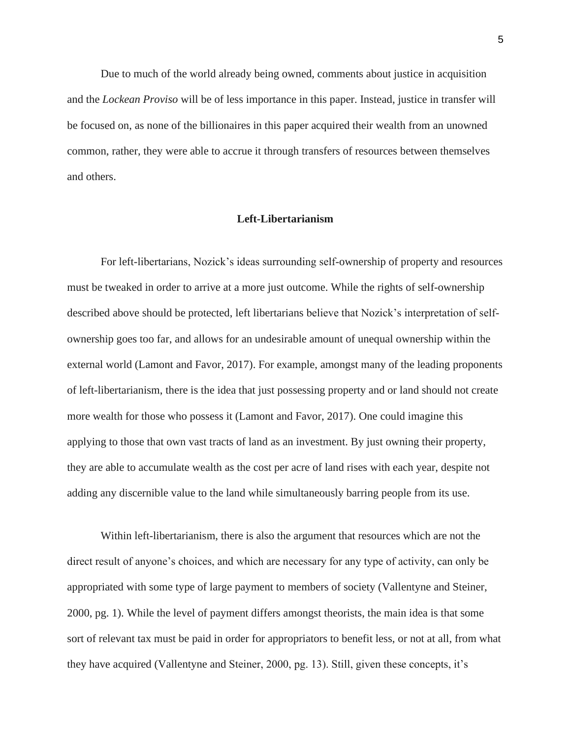Due to much of the world already being owned, comments about justice in acquisition and the *Lockean Proviso* will be of less importance in this paper. Instead, justice in transfer will be focused on, as none of the billionaires in this paper acquired their wealth from an unowned common, rather, they were able to accrue it through transfers of resources between themselves and others.

#### **Left-Libertarianism**

For left-libertarians, Nozick's ideas surrounding self-ownership of property and resources must be tweaked in order to arrive at a more just outcome. While the rights of self-ownership described above should be protected, left libertarians believe that Nozick's interpretation of selfownership goes too far, and allows for an undesirable amount of unequal ownership within the external world (Lamont and Favor, 2017). For example, amongst many of the leading proponents of left-libertarianism, there is the idea that just possessing property and or land should not create more wealth for those who possess it (Lamont and Favor, 2017). One could imagine this applying to those that own vast tracts of land as an investment. By just owning their property, they are able to accumulate wealth as the cost per acre of land rises with each year, despite not adding any discernible value to the land while simultaneously barring people from its use.

Within left-libertarianism, there is also the argument that resources which are not the direct result of anyone's choices, and which are necessary for any type of activity, can only be appropriated with some type of large payment to members of society (Vallentyne and Steiner, 2000, pg. 1). While the level of payment differs amongst theorists, the main idea is that some sort of relevant tax must be paid in order for appropriators to benefit less, or not at all, from what they have acquired (Vallentyne and Steiner, 2000, pg. 13). Still, given these concepts, it's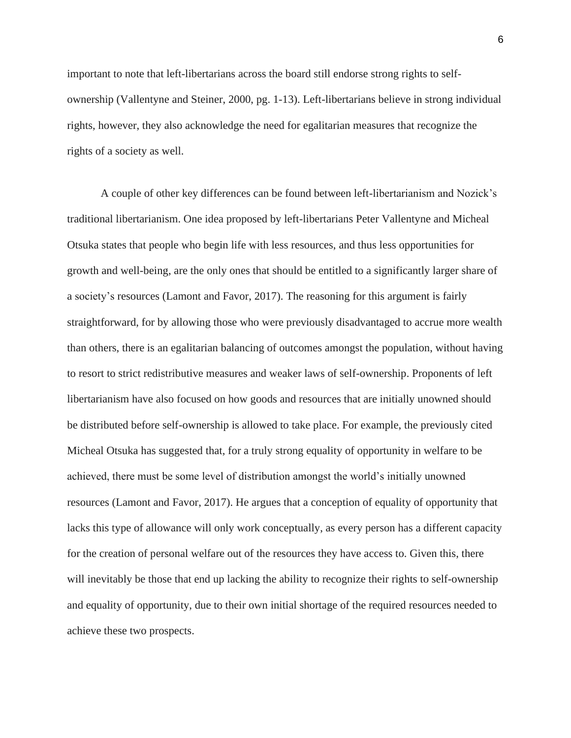important to note that left-libertarians across the board still endorse strong rights to selfownership (Vallentyne and Steiner, 2000, pg. 1-13). Left-libertarians believe in strong individual rights, however, they also acknowledge the need for egalitarian measures that recognize the rights of a society as well.

A couple of other key differences can be found between left-libertarianism and Nozick's traditional libertarianism. One idea proposed by left-libertarians Peter Vallentyne and Micheal Otsuka states that people who begin life with less resources, and thus less opportunities for growth and well-being, are the only ones that should be entitled to a significantly larger share of a society's resources (Lamont and Favor, 2017). The reasoning for this argument is fairly straightforward, for by allowing those who were previously disadvantaged to accrue more wealth than others, there is an egalitarian balancing of outcomes amongst the population, without having to resort to strict redistributive measures and weaker laws of self-ownership. Proponents of left libertarianism have also focused on how goods and resources that are initially unowned should be distributed before self-ownership is allowed to take place. For example, the previously cited Micheal Otsuka has suggested that, for a truly strong equality of opportunity in welfare to be achieved, there must be some level of distribution amongst the world's initially unowned resources (Lamont and Favor, 2017). He argues that a conception of equality of opportunity that lacks this type of allowance will only work conceptually, as every person has a different capacity for the creation of personal welfare out of the resources they have access to. Given this, there will inevitably be those that end up lacking the ability to recognize their rights to self-ownership and equality of opportunity, due to their own initial shortage of the required resources needed to achieve these two prospects.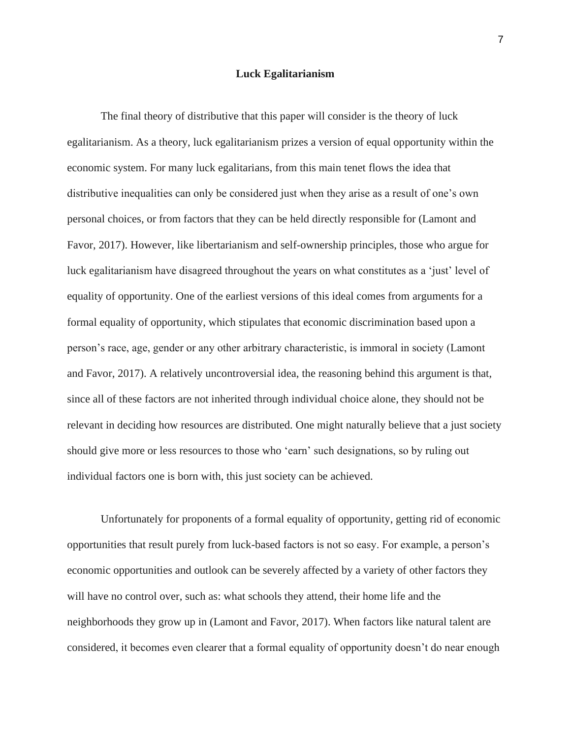### **Luck Egalitarianism**

The final theory of distributive that this paper will consider is the theory of luck egalitarianism. As a theory, luck egalitarianism prizes a version of equal opportunity within the economic system. For many luck egalitarians, from this main tenet flows the idea that distributive inequalities can only be considered just when they arise as a result of one's own personal choices, or from factors that they can be held directly responsible for (Lamont and Favor, 2017). However, like libertarianism and self-ownership principles, those who argue for luck egalitarianism have disagreed throughout the years on what constitutes as a 'just' level of equality of opportunity. One of the earliest versions of this ideal comes from arguments for a formal equality of opportunity, which stipulates that economic discrimination based upon a person's race, age, gender or any other arbitrary characteristic, is immoral in society (Lamont and Favor, 2017). A relatively uncontroversial idea, the reasoning behind this argument is that, since all of these factors are not inherited through individual choice alone, they should not be relevant in deciding how resources are distributed. One might naturally believe that a just society should give more or less resources to those who 'earn' such designations, so by ruling out individual factors one is born with, this just society can be achieved.

Unfortunately for proponents of a formal equality of opportunity, getting rid of economic opportunities that result purely from luck-based factors is not so easy. For example, a person's economic opportunities and outlook can be severely affected by a variety of other factors they will have no control over, such as: what schools they attend, their home life and the neighborhoods they grow up in (Lamont and Favor, 2017). When factors like natural talent are considered, it becomes even clearer that a formal equality of opportunity doesn't do near enough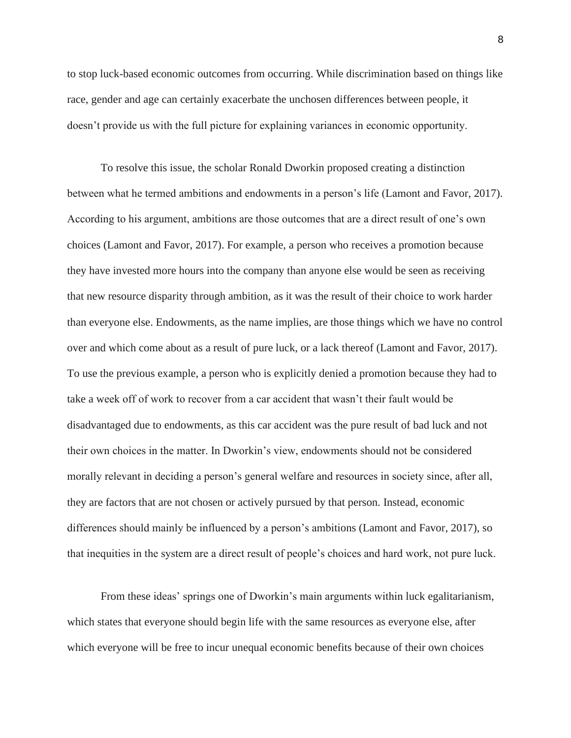to stop luck-based economic outcomes from occurring. While discrimination based on things like race, gender and age can certainly exacerbate the unchosen differences between people, it doesn't provide us with the full picture for explaining variances in economic opportunity.

To resolve this issue, the scholar Ronald Dworkin proposed creating a distinction between what he termed ambitions and endowments in a person's life (Lamont and Favor, 2017). According to his argument, ambitions are those outcomes that are a direct result of one's own choices (Lamont and Favor, 2017). For example, a person who receives a promotion because they have invested more hours into the company than anyone else would be seen as receiving that new resource disparity through ambition, as it was the result of their choice to work harder than everyone else. Endowments, as the name implies, are those things which we have no control over and which come about as a result of pure luck, or a lack thereof (Lamont and Favor, 2017). To use the previous example, a person who is explicitly denied a promotion because they had to take a week off of work to recover from a car accident that wasn't their fault would be disadvantaged due to endowments, as this car accident was the pure result of bad luck and not their own choices in the matter. In Dworkin's view, endowments should not be considered morally relevant in deciding a person's general welfare and resources in society since, after all, they are factors that are not chosen or actively pursued by that person. Instead, economic differences should mainly be influenced by a person's ambitions (Lamont and Favor, 2017), so that inequities in the system are a direct result of people's choices and hard work, not pure luck.

From these ideas' springs one of Dworkin's main arguments within luck egalitarianism, which states that everyone should begin life with the same resources as everyone else, after which everyone will be free to incur unequal economic benefits because of their own choices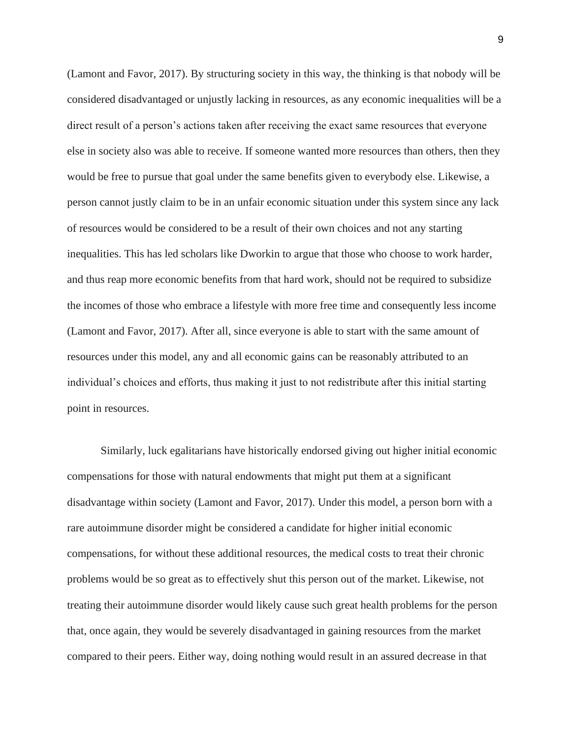(Lamont and Favor, 2017). By structuring society in this way, the thinking is that nobody will be considered disadvantaged or unjustly lacking in resources, as any economic inequalities will be a direct result of a person's actions taken after receiving the exact same resources that everyone else in society also was able to receive. If someone wanted more resources than others, then they would be free to pursue that goal under the same benefits given to everybody else. Likewise, a person cannot justly claim to be in an unfair economic situation under this system since any lack of resources would be considered to be a result of their own choices and not any starting inequalities. This has led scholars like Dworkin to argue that those who choose to work harder, and thus reap more economic benefits from that hard work, should not be required to subsidize the incomes of those who embrace a lifestyle with more free time and consequently less income (Lamont and Favor, 2017). After all, since everyone is able to start with the same amount of resources under this model, any and all economic gains can be reasonably attributed to an individual's choices and efforts, thus making it just to not redistribute after this initial starting point in resources.

Similarly, luck egalitarians have historically endorsed giving out higher initial economic compensations for those with natural endowments that might put them at a significant disadvantage within society (Lamont and Favor, 2017). Under this model, a person born with a rare autoimmune disorder might be considered a candidate for higher initial economic compensations, for without these additional resources, the medical costs to treat their chronic problems would be so great as to effectively shut this person out of the market. Likewise, not treating their autoimmune disorder would likely cause such great health problems for the person that, once again, they would be severely disadvantaged in gaining resources from the market compared to their peers. Either way, doing nothing would result in an assured decrease in that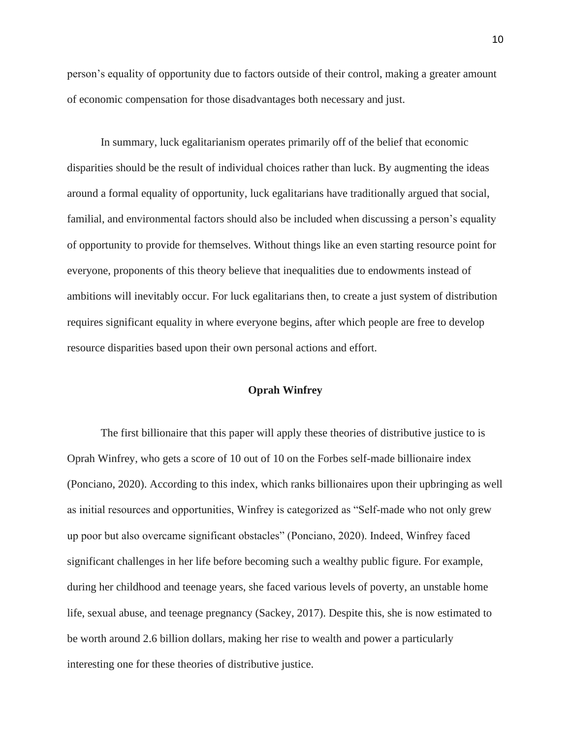person's equality of opportunity due to factors outside of their control, making a greater amount of economic compensation for those disadvantages both necessary and just.

In summary, luck egalitarianism operates primarily off of the belief that economic disparities should be the result of individual choices rather than luck. By augmenting the ideas around a formal equality of opportunity, luck egalitarians have traditionally argued that social, familial, and environmental factors should also be included when discussing a person's equality of opportunity to provide for themselves. Without things like an even starting resource point for everyone, proponents of this theory believe that inequalities due to endowments instead of ambitions will inevitably occur. For luck egalitarians then, to create a just system of distribution requires significant equality in where everyone begins, after which people are free to develop resource disparities based upon their own personal actions and effort.

#### **Oprah Winfrey**

The first billionaire that this paper will apply these theories of distributive justice to is Oprah Winfrey, who gets a score of 10 out of 10 on the Forbes self-made billionaire index (Ponciano, 2020). According to this index, which ranks billionaires upon their upbringing as well as initial resources and opportunities, Winfrey is categorized as "Self-made who not only grew up poor but also overcame significant obstacles" (Ponciano, 2020). Indeed, Winfrey faced significant challenges in her life before becoming such a wealthy public figure. For example, during her childhood and teenage years, she faced various levels of poverty, an unstable home life, sexual abuse, and teenage pregnancy (Sackey, 2017). Despite this, she is now estimated to be worth around 2.6 billion dollars, making her rise to wealth and power a particularly interesting one for these theories of distributive justice.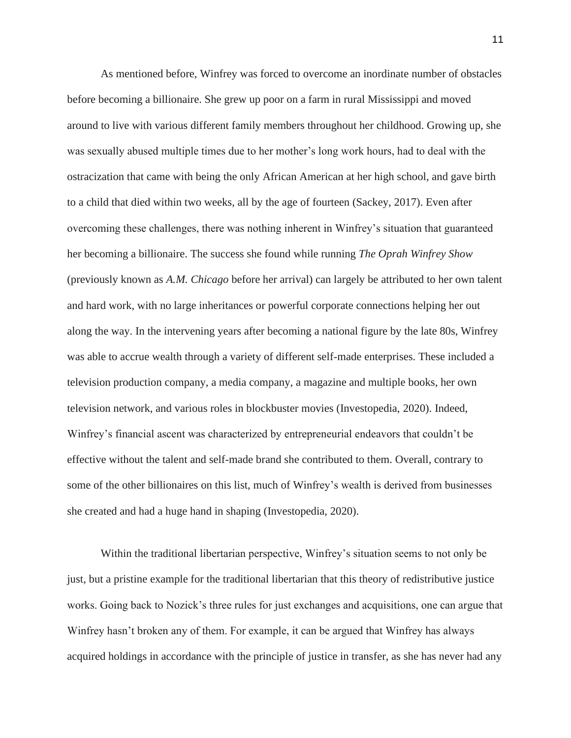As mentioned before, Winfrey was forced to overcome an inordinate number of obstacles before becoming a billionaire. She grew up poor on a farm in rural Mississippi and moved around to live with various different family members throughout her childhood. Growing up, she was sexually abused multiple times due to her mother's long work hours, had to deal with the ostracization that came with being the only African American at her high school, and gave birth to a child that died within two weeks, all by the age of fourteen (Sackey, 2017). Even after overcoming these challenges, there was nothing inherent in Winfrey's situation that guaranteed her becoming a billionaire. The success she found while running *The Oprah Winfrey Show* (previously known as *A.M. Chicago* before her arrival) can largely be attributed to her own talent and hard work, with no large inheritances or powerful corporate connections helping her out along the way. In the intervening years after becoming a national figure by the late 80s, Winfrey was able to accrue wealth through a variety of different self-made enterprises. These included a television production company, a media company, a magazine and multiple books, her own television network, and various roles in blockbuster movies (Investopedia, 2020). Indeed, Winfrey's financial ascent was characterized by entrepreneurial endeavors that couldn't be effective without the talent and self-made brand she contributed to them. Overall, contrary to some of the other billionaires on this list, much of Winfrey's wealth is derived from businesses she created and had a huge hand in shaping (Investopedia, 2020).

Within the traditional libertarian perspective, Winfrey's situation seems to not only be just, but a pristine example for the traditional libertarian that this theory of redistributive justice works. Going back to Nozick's three rules for just exchanges and acquisitions, one can argue that Winfrey hasn't broken any of them. For example, it can be argued that Winfrey has always acquired holdings in accordance with the principle of justice in transfer, as she has never had any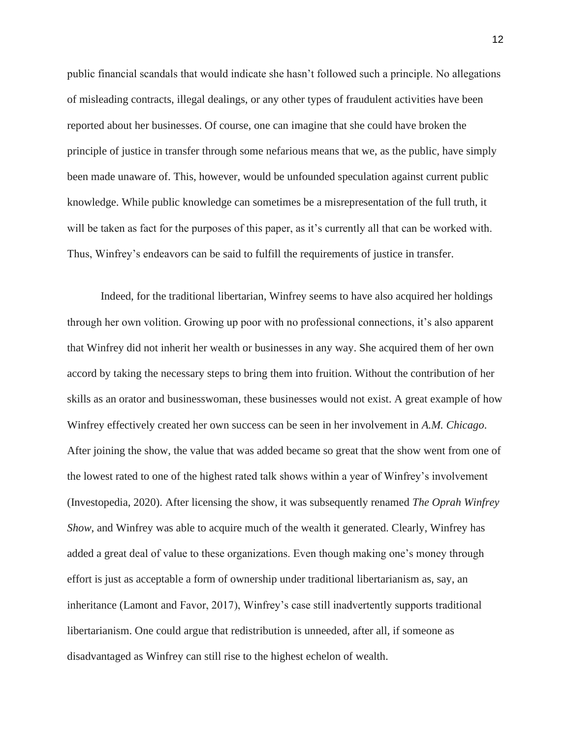public financial scandals that would indicate she hasn't followed such a principle. No allegations of misleading contracts, illegal dealings, or any other types of fraudulent activities have been reported about her businesses. Of course, one can imagine that she could have broken the principle of justice in transfer through some nefarious means that we, as the public, have simply been made unaware of. This, however, would be unfounded speculation against current public knowledge. While public knowledge can sometimes be a misrepresentation of the full truth, it will be taken as fact for the purposes of this paper, as it's currently all that can be worked with. Thus, Winfrey's endeavors can be said to fulfill the requirements of justice in transfer.

Indeed, for the traditional libertarian, Winfrey seems to have also acquired her holdings through her own volition. Growing up poor with no professional connections, it's also apparent that Winfrey did not inherit her wealth or businesses in any way. She acquired them of her own accord by taking the necessary steps to bring them into fruition. Without the contribution of her skills as an orator and businesswoman, these businesses would not exist. A great example of how Winfrey effectively created her own success can be seen in her involvement in *A.M. Chicago*. After joining the show, the value that was added became so great that the show went from one of the lowest rated to one of the highest rated talk shows within a year of Winfrey's involvement (Investopedia, 2020). After licensing the show, it was subsequently renamed *The Oprah Winfrey Show*, and Winfrey was able to acquire much of the wealth it generated. Clearly, Winfrey has added a great deal of value to these organizations. Even though making one's money through effort is just as acceptable a form of ownership under traditional libertarianism as, say, an inheritance (Lamont and Favor, 2017), Winfrey's case still inadvertently supports traditional libertarianism. One could argue that redistribution is unneeded, after all, if someone as disadvantaged as Winfrey can still rise to the highest echelon of wealth.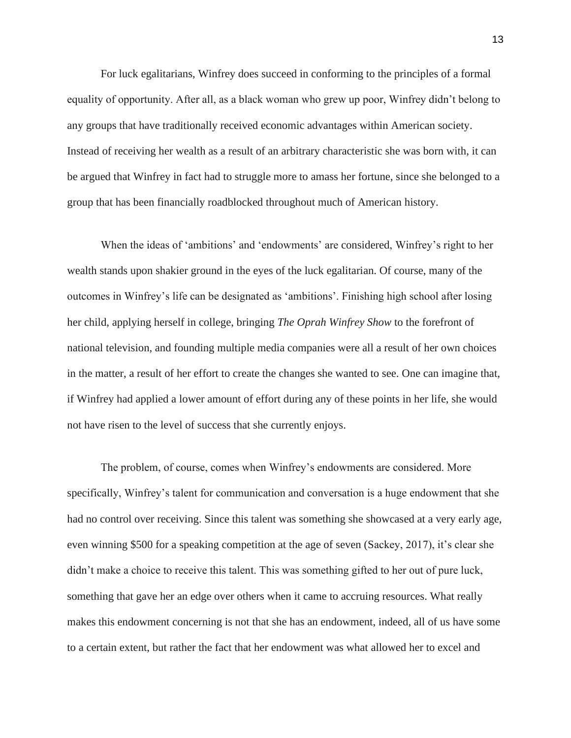For luck egalitarians, Winfrey does succeed in conforming to the principles of a formal equality of opportunity. After all, as a black woman who grew up poor, Winfrey didn't belong to any groups that have traditionally received economic advantages within American society. Instead of receiving her wealth as a result of an arbitrary characteristic she was born with, it can be argued that Winfrey in fact had to struggle more to amass her fortune, since she belonged to a group that has been financially roadblocked throughout much of American history.

When the ideas of 'ambitions' and 'endowments' are considered, Winfrey's right to her wealth stands upon shakier ground in the eyes of the luck egalitarian. Of course, many of the outcomes in Winfrey's life can be designated as 'ambitions'. Finishing high school after losing her child, applying herself in college, bringing *The Oprah Winfrey Show* to the forefront of national television, and founding multiple media companies were all a result of her own choices in the matter, a result of her effort to create the changes she wanted to see. One can imagine that, if Winfrey had applied a lower amount of effort during any of these points in her life, she would not have risen to the level of success that she currently enjoys.

The problem, of course, comes when Winfrey's endowments are considered. More specifically, Winfrey's talent for communication and conversation is a huge endowment that she had no control over receiving. Since this talent was something she showcased at a very early age, even winning \$500 for a speaking competition at the age of seven (Sackey, 2017), it's clear she didn't make a choice to receive this talent. This was something gifted to her out of pure luck, something that gave her an edge over others when it came to accruing resources. What really makes this endowment concerning is not that she has an endowment, indeed, all of us have some to a certain extent, but rather the fact that her endowment was what allowed her to excel and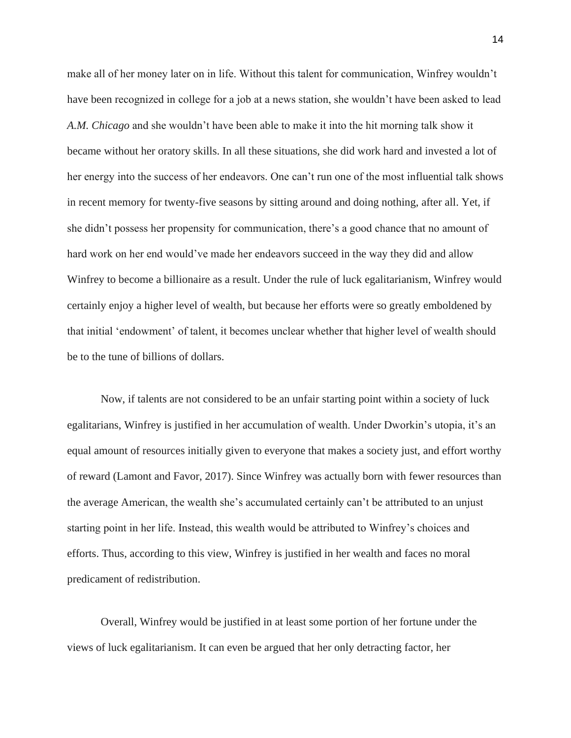make all of her money later on in life. Without this talent for communication, Winfrey wouldn't have been recognized in college for a job at a news station, she wouldn't have been asked to lead *A.M. Chicago* and she wouldn't have been able to make it into the hit morning talk show it became without her oratory skills. In all these situations, she did work hard and invested a lot of her energy into the success of her endeavors. One can't run one of the most influential talk shows in recent memory for twenty-five seasons by sitting around and doing nothing, after all. Yet, if she didn't possess her propensity for communication, there's a good chance that no amount of hard work on her end would've made her endeavors succeed in the way they did and allow Winfrey to become a billionaire as a result. Under the rule of luck egalitarianism, Winfrey would certainly enjoy a higher level of wealth, but because her efforts were so greatly emboldened by that initial 'endowment' of talent, it becomes unclear whether that higher level of wealth should be to the tune of billions of dollars.

Now, if talents are not considered to be an unfair starting point within a society of luck egalitarians, Winfrey is justified in her accumulation of wealth. Under Dworkin's utopia, it's an equal amount of resources initially given to everyone that makes a society just, and effort worthy of reward (Lamont and Favor, 2017). Since Winfrey was actually born with fewer resources than the average American, the wealth she's accumulated certainly can't be attributed to an unjust starting point in her life. Instead, this wealth would be attributed to Winfrey's choices and efforts. Thus, according to this view, Winfrey is justified in her wealth and faces no moral predicament of redistribution.

Overall, Winfrey would be justified in at least some portion of her fortune under the views of luck egalitarianism. It can even be argued that her only detracting factor, her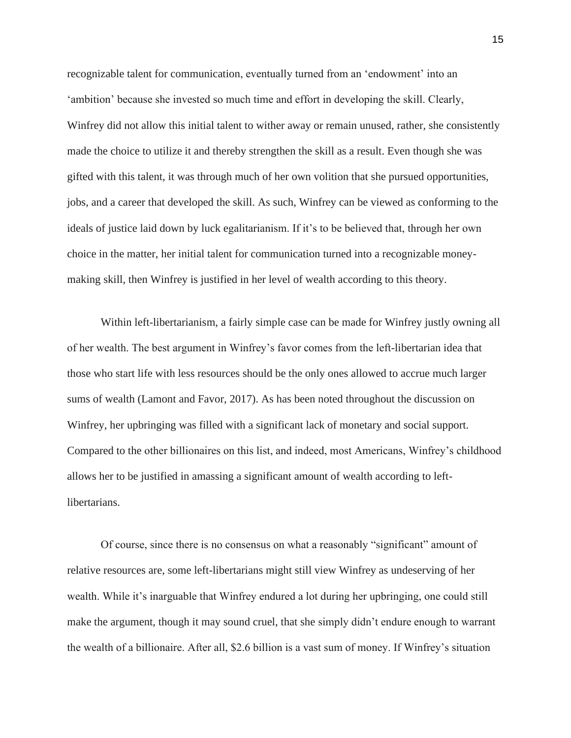recognizable talent for communication, eventually turned from an 'endowment' into an 'ambition' because she invested so much time and effort in developing the skill. Clearly, Winfrey did not allow this initial talent to wither away or remain unused, rather, she consistently made the choice to utilize it and thereby strengthen the skill as a result. Even though she was gifted with this talent, it was through much of her own volition that she pursued opportunities, jobs, and a career that developed the skill. As such, Winfrey can be viewed as conforming to the ideals of justice laid down by luck egalitarianism. If it's to be believed that, through her own choice in the matter, her initial talent for communication turned into a recognizable moneymaking skill, then Winfrey is justified in her level of wealth according to this theory.

Within left-libertarianism, a fairly simple case can be made for Winfrey justly owning all of her wealth. The best argument in Winfrey's favor comes from the left-libertarian idea that those who start life with less resources should be the only ones allowed to accrue much larger sums of wealth (Lamont and Favor, 2017). As has been noted throughout the discussion on Winfrey, her upbringing was filled with a significant lack of monetary and social support. Compared to the other billionaires on this list, and indeed, most Americans, Winfrey's childhood allows her to be justified in amassing a significant amount of wealth according to leftlibertarians.

Of course, since there is no consensus on what a reasonably "significant" amount of relative resources are, some left-libertarians might still view Winfrey as undeserving of her wealth. While it's inarguable that Winfrey endured a lot during her upbringing, one could still make the argument, though it may sound cruel, that she simply didn't endure enough to warrant the wealth of a billionaire. After all, \$2.6 billion is a vast sum of money. If Winfrey's situation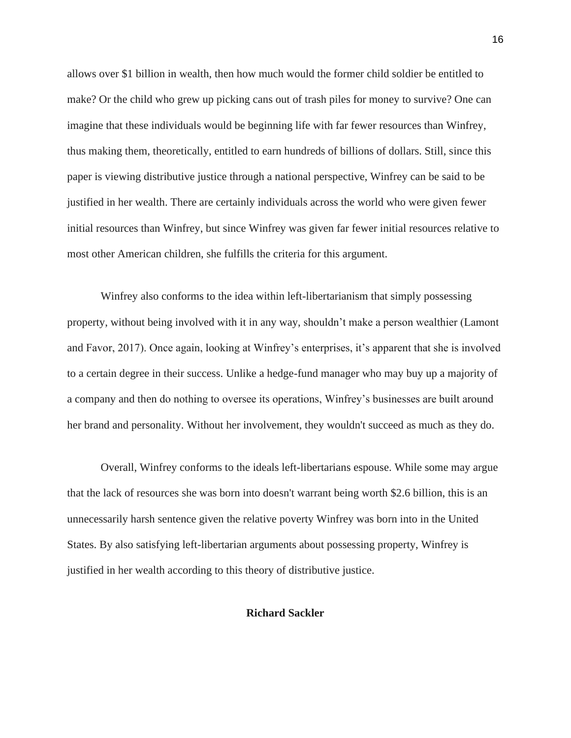allows over \$1 billion in wealth, then how much would the former child soldier be entitled to make? Or the child who grew up picking cans out of trash piles for money to survive? One can imagine that these individuals would be beginning life with far fewer resources than Winfrey, thus making them, theoretically, entitled to earn hundreds of billions of dollars. Still, since this paper is viewing distributive justice through a national perspective, Winfrey can be said to be justified in her wealth. There are certainly individuals across the world who were given fewer initial resources than Winfrey, but since Winfrey was given far fewer initial resources relative to most other American children, she fulfills the criteria for this argument.

Winfrey also conforms to the idea within left-libertarianism that simply possessing property, without being involved with it in any way, shouldn't make a person wealthier (Lamont and Favor, 2017). Once again, looking at Winfrey's enterprises, it's apparent that she is involved to a certain degree in their success. Unlike a hedge-fund manager who may buy up a majority of a company and then do nothing to oversee its operations, Winfrey's businesses are built around her brand and personality. Without her involvement, they wouldn't succeed as much as they do.

Overall, Winfrey conforms to the ideals left-libertarians espouse. While some may argue that the lack of resources she was born into doesn't warrant being worth \$2.6 billion, this is an unnecessarily harsh sentence given the relative poverty Winfrey was born into in the United States. By also satisfying left-libertarian arguments about possessing property, Winfrey is justified in her wealth according to this theory of distributive justice.

#### **Richard Sackler**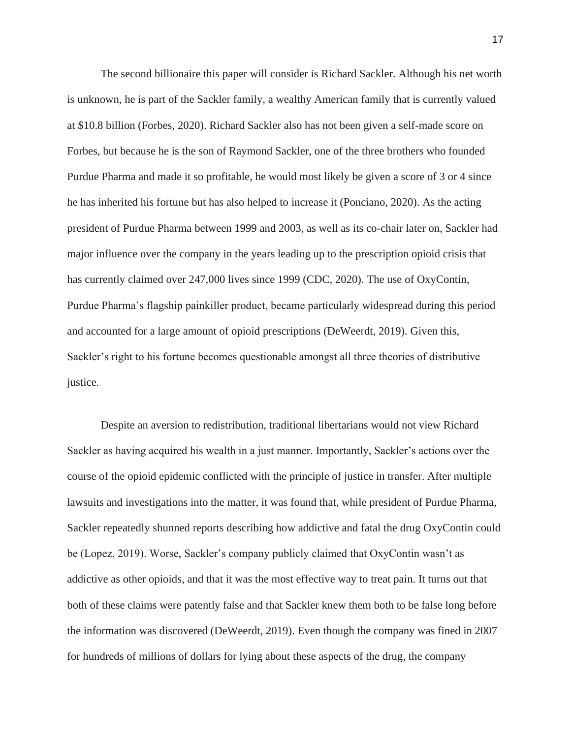The second billionaire this paper will consider is Richard Sackler. Although his net worth is unknown, he is part of the Sackler family, a wealthy American family that is currently valued at \$10.8 billion (Forbes, 2020). Richard Sackler also has not been given a self-made score on Forbes, but because he is the son of Raymond Sackler, one of the three brothers who founded Purdue Pharma and made it so profitable, he would most likely be given a score of 3 or 4 since he has inherited his fortune but has also helped to increase it (Ponciano, 2020). As the acting president of Purdue Pharma between 1999 and 2003, as well as its co-chair later on, Sackler had major influence over the company in the years leading up to the prescription opioid crisis that has currently claimed over 247,000 lives since 1999 (CDC, 2020). The use of OxyContin, Purdue Pharma's flagship painkiller product, became particularly widespread during this period and accounted for a large amount of opioid prescriptions (DeWeerdt, 2019). Given this, Sackler's right to his fortune becomes questionable amongst all three theories of distributive justice.

Despite an aversion to redistribution, traditional libertarians would not view Richard Sackler as having acquired his wealth in a just manner. Importantly, Sackler's actions over the course of the opioid epidemic conflicted with the principle of justice in transfer. After multiple lawsuits and investigations into the matter, it was found that, while president of Purdue Pharma, Sackler repeatedly shunned reports describing how addictive and fatal the drug OxyContin could be (Lopez, 2019). Worse, Sackler's company publicly claimed that OxyContin wasn't as addictive as other opioids, and that it was the most effective way to treat pain. It turns out that both of these claims were patently false and that Sackler knew them both to be false long before the information was discovered (DeWeerdt, 2019). Even though the company was fined in 2007 for hundreds of millions of dollars for lying about these aspects of the drug, the company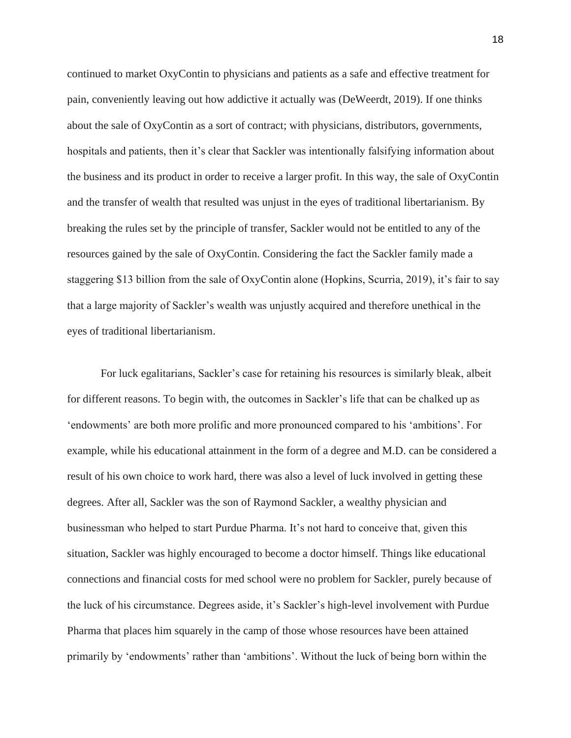continued to market OxyContin to physicians and patients as a safe and effective treatment for pain, conveniently leaving out how addictive it actually was (DeWeerdt, 2019). If one thinks about the sale of OxyContin as a sort of contract; with physicians, distributors, governments, hospitals and patients, then it's clear that Sackler was intentionally falsifying information about the business and its product in order to receive a larger profit. In this way, the sale of OxyContin and the transfer of wealth that resulted was unjust in the eyes of traditional libertarianism. By breaking the rules set by the principle of transfer, Sackler would not be entitled to any of the resources gained by the sale of OxyContin. Considering the fact the Sackler family made a staggering \$13 billion from the sale of OxyContin alone (Hopkins, Scurria, 2019), it's fair to say that a large majority of Sackler's wealth was unjustly acquired and therefore unethical in the eyes of traditional libertarianism.

For luck egalitarians, Sackler's case for retaining his resources is similarly bleak, albeit for different reasons. To begin with, the outcomes in Sackler's life that can be chalked up as 'endowments' are both more prolific and more pronounced compared to his 'ambitions'. For example, while his educational attainment in the form of a degree and M.D. can be considered a result of his own choice to work hard, there was also a level of luck involved in getting these degrees. After all, Sackler was the son of Raymond Sackler, a wealthy physician and businessman who helped to start Purdue Pharma. It's not hard to conceive that, given this situation, Sackler was highly encouraged to become a doctor himself. Things like educational connections and financial costs for med school were no problem for Sackler, purely because of the luck of his circumstance. Degrees aside, it's Sackler's high-level involvement with Purdue Pharma that places him squarely in the camp of those whose resources have been attained primarily by 'endowments' rather than 'ambitions'. Without the luck of being born within the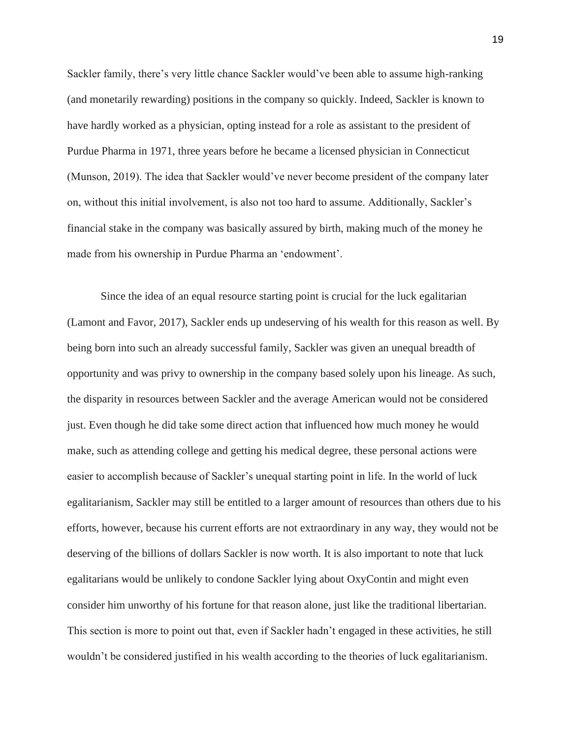Sackler family, there's very little chance Sackler would've been able to assume high-ranking (and monetarily rewarding) positions in the company so quickly. Indeed, Sackler is known to have hardly worked as a physician, opting instead for a role as assistant to the president of Purdue Pharma in 1971, three years before he became a licensed physician in Connecticut (Munson, 2019). The idea that Sackler would've never become president of the company later on, without this initial involvement, is also not too hard to assume. Additionally, Sackler's financial stake in the company was basically assured by birth, making much of the money he made from his ownership in Purdue Pharma an 'endowment'.

Since the idea of an equal resource starting point is crucial for the luck egalitarian (Lamont and Favor, 2017), Sackler ends up undeserving of his wealth for this reason as well. By being born into such an already successful family, Sackler was given an unequal breadth of opportunity and was privy to ownership in the company based solely upon his lineage. As such, the disparity in resources between Sackler and the average American would not be considered just. Even though he did take some direct action that influenced how much money he would make, such as attending college and getting his medical degree, these personal actions were easier to accomplish because of Sackler's unequal starting point in life. In the world of luck egalitarianism, Sackler may still be entitled to a larger amount of resources than others due to his efforts, however, because his current efforts are not extraordinary in any way, they would not be deserving of the billions of dollars Sackler is now worth. It is also important to note that luck egalitarians would be unlikely to condone Sackler lying about OxyContin and might even consider him unworthy of his fortune for that reason alone, just like the traditional libertarian. This section is more to point out that, even if Sackler hadn't engaged in these activities, he still wouldn't be considered justified in his wealth according to the theories of luck egalitarianism.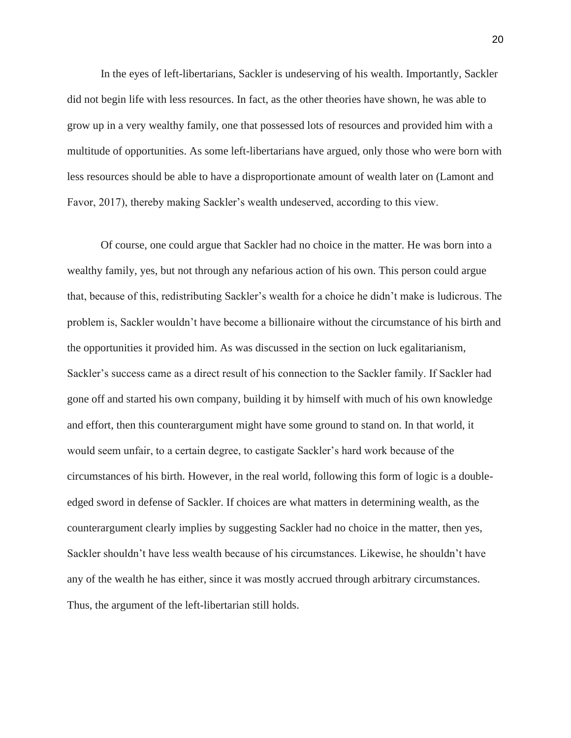In the eyes of left-libertarians, Sackler is undeserving of his wealth. Importantly, Sackler did not begin life with less resources. In fact, as the other theories have shown, he was able to grow up in a very wealthy family, one that possessed lots of resources and provided him with a multitude of opportunities. As some left-libertarians have argued, only those who were born with less resources should be able to have a disproportionate amount of wealth later on (Lamont and Favor, 2017), thereby making Sackler's wealth undeserved, according to this view.

Of course, one could argue that Sackler had no choice in the matter. He was born into a wealthy family, yes, but not through any nefarious action of his own. This person could argue that, because of this, redistributing Sackler's wealth for a choice he didn't make is ludicrous. The problem is, Sackler wouldn't have become a billionaire without the circumstance of his birth and the opportunities it provided him. As was discussed in the section on luck egalitarianism, Sackler's success came as a direct result of his connection to the Sackler family. If Sackler had gone off and started his own company, building it by himself with much of his own knowledge and effort, then this counterargument might have some ground to stand on. In that world, it would seem unfair, to a certain degree, to castigate Sackler's hard work because of the circumstances of his birth. However, in the real world, following this form of logic is a doubleedged sword in defense of Sackler. If choices are what matters in determining wealth, as the counterargument clearly implies by suggesting Sackler had no choice in the matter, then yes, Sackler shouldn't have less wealth because of his circumstances. Likewise, he shouldn't have any of the wealth he has either, since it was mostly accrued through arbitrary circumstances. Thus, the argument of the left-libertarian still holds.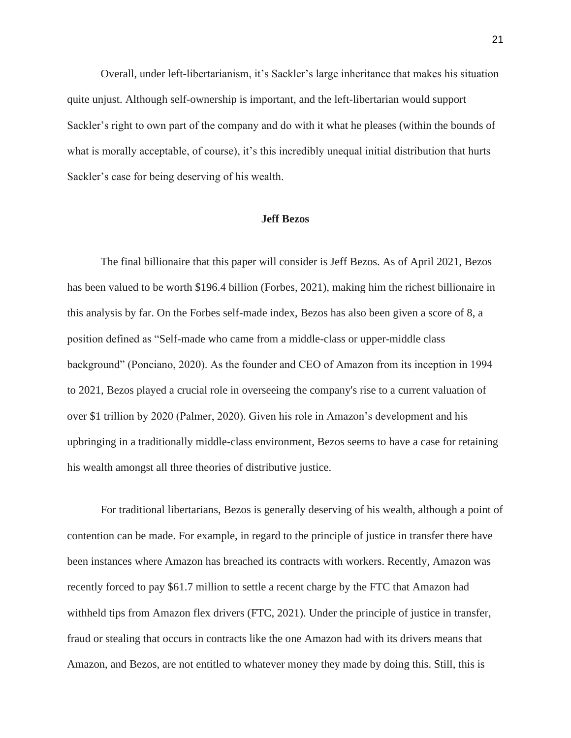Overall, under left-libertarianism, it's Sackler's large inheritance that makes his situation quite unjust. Although self-ownership is important, and the left-libertarian would support Sackler's right to own part of the company and do with it what he pleases (within the bounds of what is morally acceptable, of course), it's this incredibly unequal initial distribution that hurts Sackler's case for being deserving of his wealth.

#### **Jeff Bezos**

The final billionaire that this paper will consider is Jeff Bezos. As of April 2021, Bezos has been valued to be worth \$196.4 billion (Forbes, 2021), making him the richest billionaire in this analysis by far. On the Forbes self-made index, Bezos has also been given a score of 8, a position defined as "Self-made who came from a middle-class or upper-middle class background" (Ponciano, 2020). As the founder and CEO of Amazon from its inception in 1994 to 2021, Bezos played a crucial role in overseeing the company's rise to a current valuation of over \$1 trillion by 2020 (Palmer, 2020). Given his role in Amazon's development and his upbringing in a traditionally middle-class environment, Bezos seems to have a case for retaining his wealth amongst all three theories of distributive justice.

For traditional libertarians, Bezos is generally deserving of his wealth, although a point of contention can be made. For example, in regard to the principle of justice in transfer there have been instances where Amazon has breached its contracts with workers. Recently, Amazon was recently forced to pay \$61.7 million to settle a recent charge by the FTC that Amazon had withheld tips from Amazon flex drivers (FTC, 2021). Under the principle of justice in transfer, fraud or stealing that occurs in contracts like the one Amazon had with its drivers means that Amazon, and Bezos, are not entitled to whatever money they made by doing this. Still, this is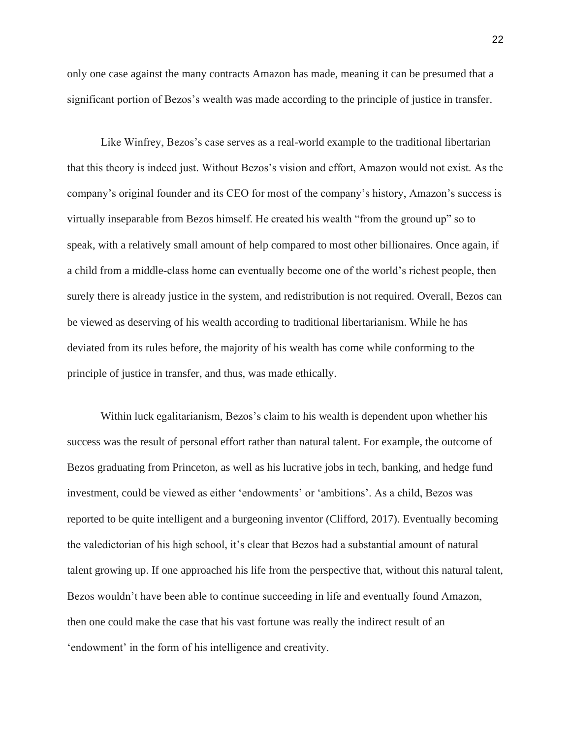only one case against the many contracts Amazon has made, meaning it can be presumed that a significant portion of Bezos's wealth was made according to the principle of justice in transfer.

Like Winfrey, Bezos's case serves as a real-world example to the traditional libertarian that this theory is indeed just. Without Bezos's vision and effort, Amazon would not exist. As the company's original founder and its CEO for most of the company's history, Amazon's success is virtually inseparable from Bezos himself. He created his wealth "from the ground up" so to speak, with a relatively small amount of help compared to most other billionaires. Once again, if a child from a middle-class home can eventually become one of the world's richest people, then surely there is already justice in the system, and redistribution is not required. Overall, Bezos can be viewed as deserving of his wealth according to traditional libertarianism. While he has deviated from its rules before, the majority of his wealth has come while conforming to the principle of justice in transfer, and thus, was made ethically.

Within luck egalitarianism, Bezos's claim to his wealth is dependent upon whether his success was the result of personal effort rather than natural talent. For example, the outcome of Bezos graduating from Princeton, as well as his lucrative jobs in tech, banking, and hedge fund investment, could be viewed as either 'endowments' or 'ambitions'. As a child, Bezos was reported to be quite intelligent and a burgeoning inventor (Clifford, 2017). Eventually becoming the valedictorian of his high school, it's clear that Bezos had a substantial amount of natural talent growing up. If one approached his life from the perspective that, without this natural talent, Bezos wouldn't have been able to continue succeeding in life and eventually found Amazon, then one could make the case that his vast fortune was really the indirect result of an 'endowment' in the form of his intelligence and creativity.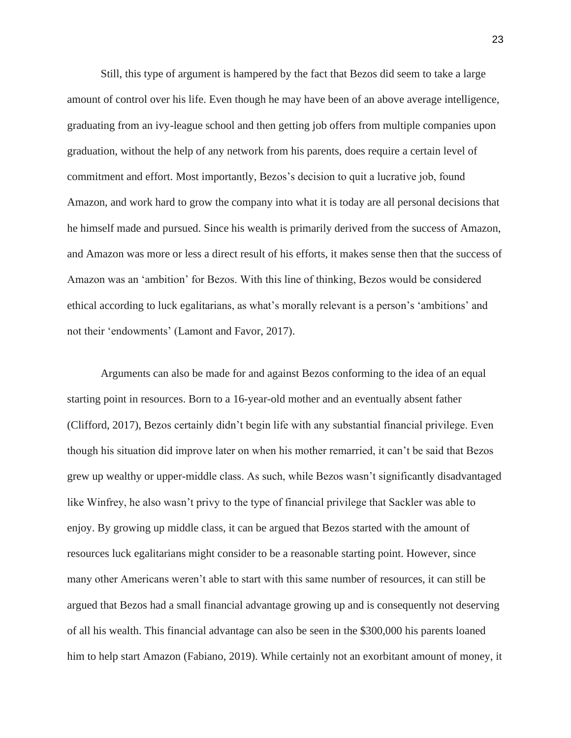Still, this type of argument is hampered by the fact that Bezos did seem to take a large amount of control over his life. Even though he may have been of an above average intelligence, graduating from an ivy-league school and then getting job offers from multiple companies upon graduation, without the help of any network from his parents, does require a certain level of commitment and effort. Most importantly, Bezos's decision to quit a lucrative job, found Amazon, and work hard to grow the company into what it is today are all personal decisions that he himself made and pursued. Since his wealth is primarily derived from the success of Amazon, and Amazon was more or less a direct result of his efforts, it makes sense then that the success of Amazon was an 'ambition' for Bezos. With this line of thinking, Bezos would be considered ethical according to luck egalitarians, as what's morally relevant is a person's 'ambitions' and not their 'endowments' (Lamont and Favor, 2017).

Arguments can also be made for and against Bezos conforming to the idea of an equal starting point in resources. Born to a 16-year-old mother and an eventually absent father (Clifford, 2017), Bezos certainly didn't begin life with any substantial financial privilege. Even though his situation did improve later on when his mother remarried, it can't be said that Bezos grew up wealthy or upper-middle class. As such, while Bezos wasn't significantly disadvantaged like Winfrey, he also wasn't privy to the type of financial privilege that Sackler was able to enjoy. By growing up middle class, it can be argued that Bezos started with the amount of resources luck egalitarians might consider to be a reasonable starting point. However, since many other Americans weren't able to start with this same number of resources, it can still be argued that Bezos had a small financial advantage growing up and is consequently not deserving of all his wealth. This financial advantage can also be seen in the \$300,000 his parents loaned him to help start Amazon (Fabiano, 2019). While certainly not an exorbitant amount of money, it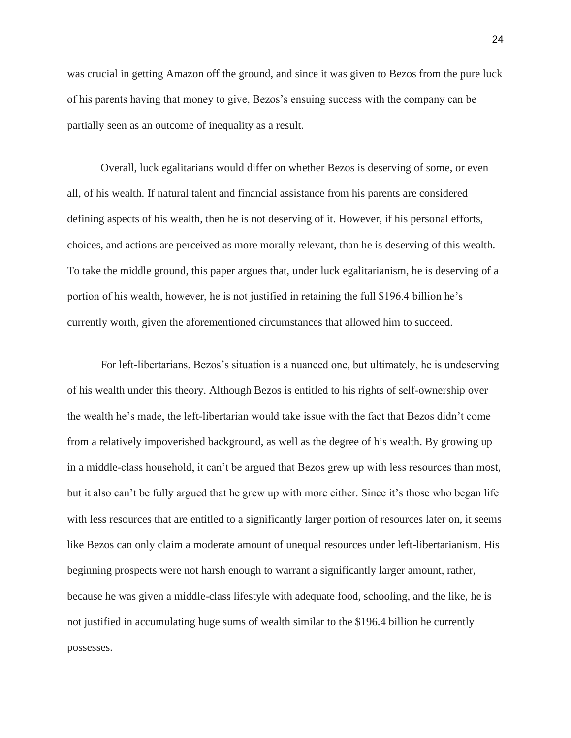was crucial in getting Amazon off the ground, and since it was given to Bezos from the pure luck of his parents having that money to give, Bezos's ensuing success with the company can be partially seen as an outcome of inequality as a result.

Overall, luck egalitarians would differ on whether Bezos is deserving of some, or even all, of his wealth. If natural talent and financial assistance from his parents are considered defining aspects of his wealth, then he is not deserving of it. However, if his personal efforts, choices, and actions are perceived as more morally relevant, than he is deserving of this wealth. To take the middle ground, this paper argues that, under luck egalitarianism, he is deserving of a portion of his wealth, however, he is not justified in retaining the full \$196.4 billion he's currently worth, given the aforementioned circumstances that allowed him to succeed.

For left-libertarians, Bezos's situation is a nuanced one, but ultimately, he is undeserving of his wealth under this theory. Although Bezos is entitled to his rights of self-ownership over the wealth he's made, the left-libertarian would take issue with the fact that Bezos didn't come from a relatively impoverished background, as well as the degree of his wealth. By growing up in a middle-class household, it can't be argued that Bezos grew up with less resources than most, but it also can't be fully argued that he grew up with more either. Since it's those who began life with less resources that are entitled to a significantly larger portion of resources later on, it seems like Bezos can only claim a moderate amount of unequal resources under left-libertarianism. His beginning prospects were not harsh enough to warrant a significantly larger amount, rather, because he was given a middle-class lifestyle with adequate food, schooling, and the like, he is not justified in accumulating huge sums of wealth similar to the \$196.4 billion he currently possesses.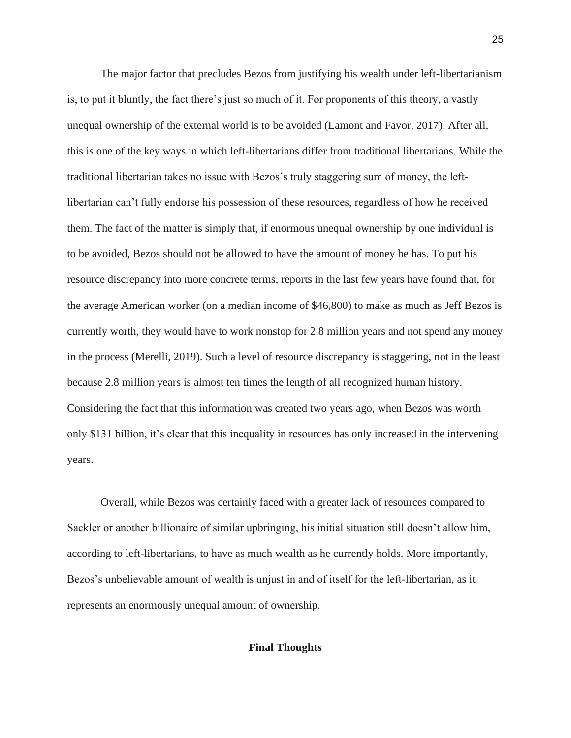The major factor that precludes Bezos from justifying his wealth under left-libertarianism is, to put it bluntly, the fact there's just so much of it. For proponents of this theory, a vastly unequal ownership of the external world is to be avoided (Lamont and Favor, 2017). After all, this is one of the key ways in which left-libertarians differ from traditional libertarians. While the traditional libertarian takes no issue with Bezos's truly staggering sum of money, the leftlibertarian can't fully endorse his possession of these resources, regardless of how he received them. The fact of the matter is simply that, if enormous unequal ownership by one individual is to be avoided, Bezos should not be allowed to have the amount of money he has. To put his resource discrepancy into more concrete terms, reports in the last few years have found that, for the average American worker (on a median income of \$46,800) to make as much as Jeff Bezos is currently worth, they would have to work nonstop for 2.8 million years and not spend any money in the process (Merelli, 2019). Such a level of resource discrepancy is staggering, not in the least because 2.8 million years is almost ten times the length of all recognized human history. Considering the fact that this information was created two years ago, when Bezos was worth only \$131 billion, it's clear that this inequality in resources has only increased in the intervening years.

Overall, while Bezos was certainly faced with a greater lack of resources compared to Sackler or another billionaire of similar upbringing, his initial situation still doesn't allow him, according to left-libertarians, to have as much wealth as he currently holds. More importantly, Bezos's unbelievable amount of wealth is unjust in and of itself for the left-libertarian, as it represents an enormously unequal amount of ownership.

## **Final Thoughts**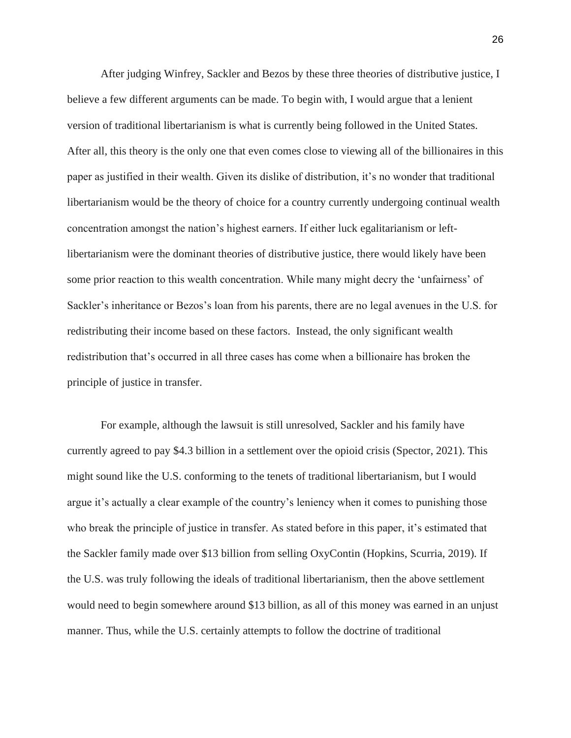After judging Winfrey, Sackler and Bezos by these three theories of distributive justice, I believe a few different arguments can be made. To begin with, I would argue that a lenient version of traditional libertarianism is what is currently being followed in the United States. After all, this theory is the only one that even comes close to viewing all of the billionaires in this paper as justified in their wealth. Given its dislike of distribution, it's no wonder that traditional libertarianism would be the theory of choice for a country currently undergoing continual wealth concentration amongst the nation's highest earners. If either luck egalitarianism or leftlibertarianism were the dominant theories of distributive justice, there would likely have been some prior reaction to this wealth concentration. While many might decry the 'unfairness' of Sackler's inheritance or Bezos's loan from his parents, there are no legal avenues in the U.S. for redistributing their income based on these factors. Instead, the only significant wealth redistribution that's occurred in all three cases has come when a billionaire has broken the principle of justice in transfer.

For example, although the lawsuit is still unresolved, Sackler and his family have currently agreed to pay \$4.3 billion in a settlement over the opioid crisis (Spector, 2021). This might sound like the U.S. conforming to the tenets of traditional libertarianism, but I would argue it's actually a clear example of the country's leniency when it comes to punishing those who break the principle of justice in transfer. As stated before in this paper, it's estimated that the Sackler family made over \$13 billion from selling OxyContin (Hopkins, Scurria, 2019). If the U.S. was truly following the ideals of traditional libertarianism, then the above settlement would need to begin somewhere around \$13 billion, as all of this money was earned in an unjust manner. Thus, while the U.S. certainly attempts to follow the doctrine of traditional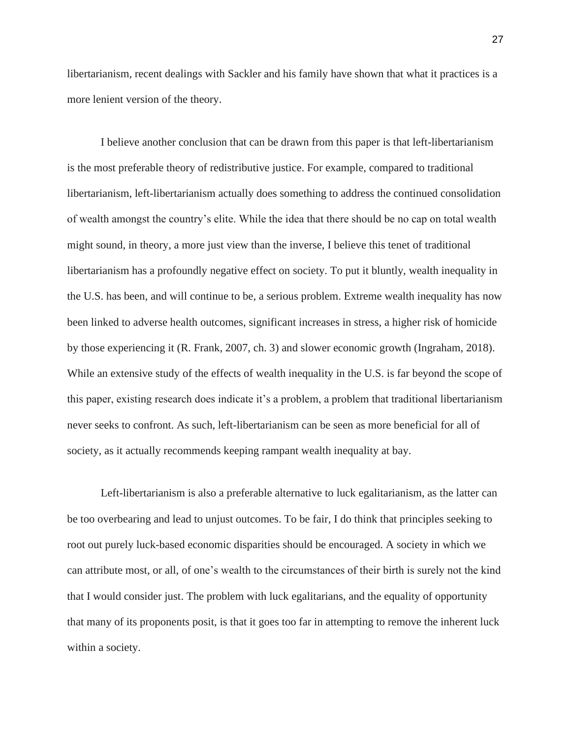libertarianism, recent dealings with Sackler and his family have shown that what it practices is a more lenient version of the theory.

I believe another conclusion that can be drawn from this paper is that left-libertarianism is the most preferable theory of redistributive justice. For example, compared to traditional libertarianism, left-libertarianism actually does something to address the continued consolidation of wealth amongst the country's elite. While the idea that there should be no cap on total wealth might sound, in theory, a more just view than the inverse, I believe this tenet of traditional libertarianism has a profoundly negative effect on society. To put it bluntly, wealth inequality in the U.S. has been, and will continue to be, a serious problem. Extreme wealth inequality has now been linked to adverse health outcomes, significant increases in stress, a higher risk of homicide by those experiencing it (R. Frank, 2007, ch. 3) and slower economic growth (Ingraham, 2018). While an extensive study of the effects of wealth inequality in the U.S. is far beyond the scope of this paper, existing research does indicate it's a problem, a problem that traditional libertarianism never seeks to confront. As such, left-libertarianism can be seen as more beneficial for all of society, as it actually recommends keeping rampant wealth inequality at bay.

Left-libertarianism is also a preferable alternative to luck egalitarianism, as the latter can be too overbearing and lead to unjust outcomes. To be fair, I do think that principles seeking to root out purely luck-based economic disparities should be encouraged. A society in which we can attribute most, or all, of one's wealth to the circumstances of their birth is surely not the kind that I would consider just. The problem with luck egalitarians, and the equality of opportunity that many of its proponents posit, is that it goes too far in attempting to remove the inherent luck within a society.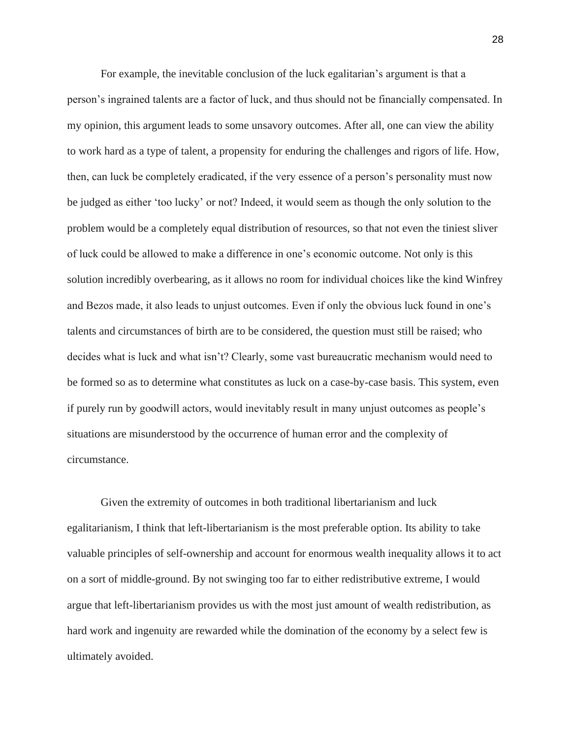For example, the inevitable conclusion of the luck egalitarian's argument is that a person's ingrained talents are a factor of luck, and thus should not be financially compensated. In my opinion, this argument leads to some unsavory outcomes. After all, one can view the ability to work hard as a type of talent, a propensity for enduring the challenges and rigors of life. How, then, can luck be completely eradicated, if the very essence of a person's personality must now be judged as either 'too lucky' or not? Indeed, it would seem as though the only solution to the problem would be a completely equal distribution of resources, so that not even the tiniest sliver of luck could be allowed to make a difference in one's economic outcome. Not only is this solution incredibly overbearing, as it allows no room for individual choices like the kind Winfrey and Bezos made, it also leads to unjust outcomes. Even if only the obvious luck found in one's talents and circumstances of birth are to be considered, the question must still be raised; who decides what is luck and what isn't? Clearly, some vast bureaucratic mechanism would need to be formed so as to determine what constitutes as luck on a case-by-case basis. This system, even if purely run by goodwill actors, would inevitably result in many unjust outcomes as people's situations are misunderstood by the occurrence of human error and the complexity of circumstance.

Given the extremity of outcomes in both traditional libertarianism and luck egalitarianism, I think that left-libertarianism is the most preferable option. Its ability to take valuable principles of self-ownership and account for enormous wealth inequality allows it to act on a sort of middle-ground. By not swinging too far to either redistributive extreme, I would argue that left-libertarianism provides us with the most just amount of wealth redistribution, as hard work and ingenuity are rewarded while the domination of the economy by a select few is ultimately avoided.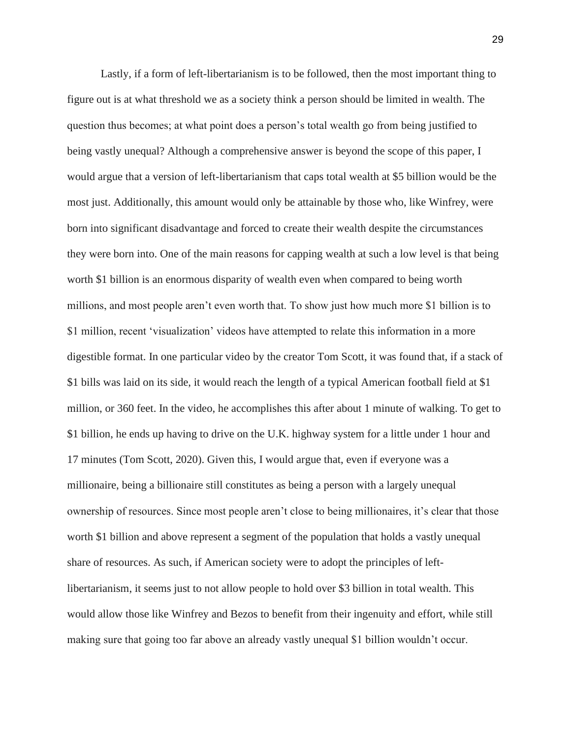Lastly, if a form of left-libertarianism is to be followed, then the most important thing to figure out is at what threshold we as a society think a person should be limited in wealth. The question thus becomes; at what point does a person's total wealth go from being justified to being vastly unequal? Although a comprehensive answer is beyond the scope of this paper, I would argue that a version of left-libertarianism that caps total wealth at \$5 billion would be the most just. Additionally, this amount would only be attainable by those who, like Winfrey, were born into significant disadvantage and forced to create their wealth despite the circumstances they were born into. One of the main reasons for capping wealth at such a low level is that being worth \$1 billion is an enormous disparity of wealth even when compared to being worth millions, and most people aren't even worth that. To show just how much more \$1 billion is to \$1 million, recent 'visualization' videos have attempted to relate this information in a more digestible format. In one particular video by the creator Tom Scott, it was found that, if a stack of \$1 bills was laid on its side, it would reach the length of a typical American football field at \$1 million, or 360 feet. In the video, he accomplishes this after about 1 minute of walking. To get to \$1 billion, he ends up having to drive on the U.K. highway system for a little under 1 hour and 17 minutes (Tom Scott, 2020). Given this, I would argue that, even if everyone was a millionaire, being a billionaire still constitutes as being a person with a largely unequal ownership of resources. Since most people aren't close to being millionaires, it's clear that those worth \$1 billion and above represent a segment of the population that holds a vastly unequal share of resources. As such, if American society were to adopt the principles of leftlibertarianism, it seems just to not allow people to hold over \$3 billion in total wealth. This would allow those like Winfrey and Bezos to benefit from their ingenuity and effort, while still making sure that going too far above an already vastly unequal \$1 billion wouldn't occur.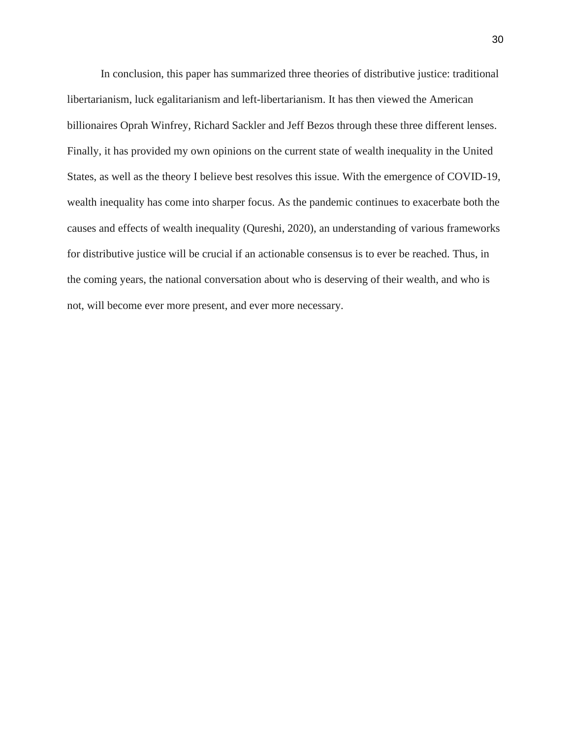In conclusion, this paper has summarized three theories of distributive justice: traditional libertarianism, luck egalitarianism and left-libertarianism. It has then viewed the American billionaires Oprah Winfrey, Richard Sackler and Jeff Bezos through these three different lenses. Finally, it has provided my own opinions on the current state of wealth inequality in the United States, as well as the theory I believe best resolves this issue. With the emergence of COVID-19, wealth inequality has come into sharper focus. As the pandemic continues to exacerbate both the causes and effects of wealth inequality (Qureshi, 2020), an understanding of various frameworks for distributive justice will be crucial if an actionable consensus is to ever be reached. Thus, in the coming years, the national conversation about who is deserving of their wealth, and who is not, will become ever more present, and ever more necessary.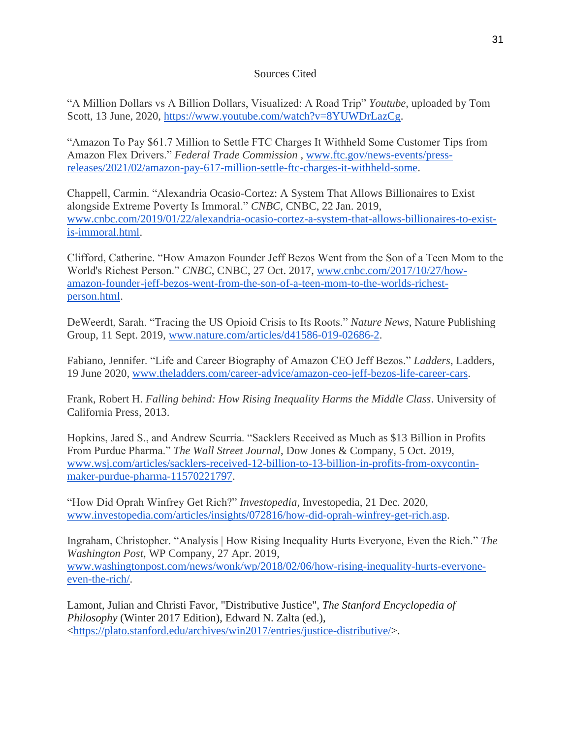# Sources Cited

"A Million Dollars vs A Billion Dollars, Visualized: A Road Trip" *Youtube*, uploaded by Tom Scott, 13 June, 2020, [https://www.youtube.com/watch?v=8YUWDrLazCg.](https://www.youtube.com/watch?v=8YUWDrLazCg)

"Amazon To Pay \$61.7 Million to Settle FTC Charges It Withheld Some Customer Tips from Amazon Flex Drivers." *Federal Trade Commission* , [www.ftc.gov/news-events/press](http://www.ftc.gov/news-events/press-releases/2021/02/amazon-pay-617-million-settle-ftc-charges-it-withheld-some)[releases/2021/02/amazon-pay-617-million-settle-ftc-charges-it-withheld-some.](http://www.ftc.gov/news-events/press-releases/2021/02/amazon-pay-617-million-settle-ftc-charges-it-withheld-some)

Chappell, Carmin. "Alexandria Ocasio-Cortez: A System That Allows Billionaires to Exist alongside Extreme Poverty Is Immoral." *CNBC*, CNBC, 22 Jan. 2019, [www.cnbc.com/2019/01/22/alexandria-ocasio-cortez-a-system-that-allows-billionaires-to-exist](http://www.cnbc.com/2019/01/22/alexandria-ocasio-cortez-a-system-that-allows-billionaires-to-exist-is-immoral.html)[is-immoral.html.](http://www.cnbc.com/2019/01/22/alexandria-ocasio-cortez-a-system-that-allows-billionaires-to-exist-is-immoral.html)

Clifford, Catherine. "How Amazon Founder Jeff Bezos Went from the Son of a Teen Mom to the World's Richest Person." *CNBC*, CNBC, 27 Oct. 2017, [www.cnbc.com/2017/10/27/how](http://www.cnbc.com/2017/10/27/how-amazon-founder-jeff-bezos-went-from-the-son-of-a-teen-mom-to-the-worlds-richest-person.html)[amazon-founder-jeff-bezos-went-from-the-son-of-a-teen-mom-to-the-worlds-richest](http://www.cnbc.com/2017/10/27/how-amazon-founder-jeff-bezos-went-from-the-son-of-a-teen-mom-to-the-worlds-richest-person.html)[person.html.](http://www.cnbc.com/2017/10/27/how-amazon-founder-jeff-bezos-went-from-the-son-of-a-teen-mom-to-the-worlds-richest-person.html)

DeWeerdt, Sarah. "Tracing the US Opioid Crisis to Its Roots." *Nature News*, Nature Publishing Group, 11 Sept. 2019, [www.nature.com/articles/d41586-019-02686-2.](http://www.nature.com/articles/d41586-019-02686-2)

Fabiano, Jennifer. "Life and Career Biography of Amazon CEO Jeff Bezos." *Ladders*, Ladders, 19 June 2020, [www.theladders.com/career-advice/amazon-ceo-jeff-bezos-life-career-cars.](http://www.theladders.com/career-advice/amazon-ceo-jeff-bezos-life-career-cars)

Frank, Robert H. *Falling behind: How Rising Inequality Harms the Middle Class*. University of California Press, 2013.

Hopkins, Jared S., and Andrew Scurria. "Sacklers Received as Much as \$13 Billion in Profits From Purdue Pharma." *The Wall Street Journal*, Dow Jones & Company, 5 Oct. 2019, [www.wsj.com/articles/sacklers-received-12-billion-to-13-billion-in-profits-from-oxycontin](http://www.wsj.com/articles/sacklers-received-12-billion-to-13-billion-in-profits-from-oxycontin-maker-purdue-pharma-11570221797)[maker-purdue-pharma-11570221797.](http://www.wsj.com/articles/sacklers-received-12-billion-to-13-billion-in-profits-from-oxycontin-maker-purdue-pharma-11570221797)

"How Did Oprah Winfrey Get Rich?" *Investopedia*, Investopedia, 21 Dec. 2020, [www.investopedia.com/articles/insights/072816/how-did-oprah-winfrey-get-rich.asp.](http://www.investopedia.com/articles/insights/072816/how-did-oprah-winfrey-get-rich.asp)

Ingraham, Christopher. "Analysis | How Rising Inequality Hurts Everyone, Even the Rich." *The Washington Post*, WP Company, 27 Apr. 2019, [www.washingtonpost.com/news/wonk/wp/2018/02/06/how-rising-inequality-hurts-everyone](http://www.washingtonpost.com/news/wonk/wp/2018/02/06/how-rising-inequality-hurts-everyone-even-the-rich/)[even-the-rich/.](http://www.washingtonpost.com/news/wonk/wp/2018/02/06/how-rising-inequality-hurts-everyone-even-the-rich/)

Lamont, Julian and Christi Favor, "Distributive Justice", *The Stanford Encyclopedia of Philosophy* (Winter 2017 Edition), Edward N. Zalta (ed.), [<https://plato.stanford.edu/archives/win2017/entries/justice-distributive/>](https://plato.stanford.edu/archives/win2017/entries/justice-distributive/).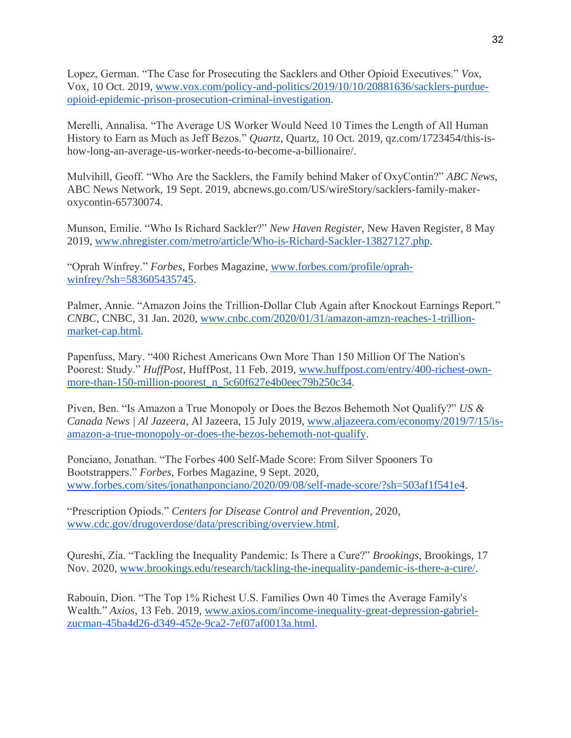Lopez, German. "The Case for Prosecuting the Sacklers and Other Opioid Executives." *Vox*, Vox, 10 Oct. 2019, [www.vox.com/policy-and-politics/2019/10/10/20881636/sacklers-purdue](http://www.vox.com/policy-and-politics/2019/10/10/20881636/sacklers-purdue-opioid-epidemic-prison-prosecution-criminal-investigation)[opioid-epidemic-prison-prosecution-criminal-investigation.](http://www.vox.com/policy-and-politics/2019/10/10/20881636/sacklers-purdue-opioid-epidemic-prison-prosecution-criminal-investigation)

Merelli, Annalisa. "The Average US Worker Would Need 10 Times the Length of All Human History to Earn as Much as Jeff Bezos." *Quartz*, Quartz, 10 Oct. 2019, qz.com/1723454/this-ishow-long-an-average-us-worker-needs-to-become-a-billionaire/.

Mulvihill, Geoff. "Who Are the Sacklers, the Family behind Maker of OxyContin?" *ABC News*, ABC News Network, 19 Sept. 2019, abcnews.go.com/US/wireStory/sacklers-family-makeroxycontin-65730074.

Munson, Emilie. "Who Is Richard Sackler?" *New Haven Register*, New Haven Register, 8 May 2019, [www.nhregister.com/metro/article/Who-is-Richard-Sackler-13827127.php.](http://www.nhregister.com/metro/article/Who-is-Richard-Sackler-13827127.php)

"Oprah Winfrey." *Forbes*, Forbes Magazine, [www.forbes.com/profile/oprah](http://www.forbes.com/profile/oprah-winfrey/?sh=583605435745)[winfrey/?sh=583605435745.](http://www.forbes.com/profile/oprah-winfrey/?sh=583605435745)

Palmer, Annie. "Amazon Joins the Trillion-Dollar Club Again after Knockout Earnings Report." *CNBC*, CNBC, 31 Jan. 2020, [www.cnbc.com/2020/01/31/amazon-amzn-reaches-1-trillion](http://www.cnbc.com/2020/01/31/amazon-amzn-reaches-1-trillion-market-cap.html)[market-cap.html.](http://www.cnbc.com/2020/01/31/amazon-amzn-reaches-1-trillion-market-cap.html)

Papenfuss, Mary. "400 Richest Americans Own More Than 150 Million Of The Nation's Poorest: Study." *HuffPost*, HuffPost, 11 Feb. 2019, [www.huffpost.com/entry/400-richest-own](http://www.huffpost.com/entry/400-richest-own-more-than-150-million-poorest_n_5c60f627e4b0eec79b250c34)[more-than-150-million-poorest\\_n\\_5c60f627e4b0eec79b250c34.](http://www.huffpost.com/entry/400-richest-own-more-than-150-million-poorest_n_5c60f627e4b0eec79b250c34)

Piven, Ben. "Is Amazon a True Monopoly or Does the Bezos Behemoth Not Qualify?" *US & Canada News | Al Jazeera*, Al Jazeera, 15 July 2019, [www.aljazeera.com/economy/2019/7/15/is](http://www.aljazeera.com/economy/2019/7/15/is-amazon-a-true-monopoly-or-does-the-bezos-behemoth-not-qualify)[amazon-a-true-monopoly-or-does-the-bezos-behemoth-not-qualify.](http://www.aljazeera.com/economy/2019/7/15/is-amazon-a-true-monopoly-or-does-the-bezos-behemoth-not-qualify)

Ponciano, Jonathan. "The Forbes 400 Self-Made Score: From Silver Spooners To Bootstrappers." *Forbes*, Forbes Magazine, 9 Sept. 2020, [www.forbes.com/sites/jonathanponciano/2020/09/08/self-made-score/?sh=503af1f541e4.](http://www.forbes.com/sites/jonathanponciano/2020/09/08/self-made-score/?sh=503af1f541e4)

"Prescription Opiods." *Centers for Disease Control and Prevention*, 2020, [www.cdc.gov/drugoverdose/data/prescribing/overview.html.](http://www.cdc.gov/drugoverdose/data/prescribing/overview.html)

Qureshi, Zia. "Tackling the Inequality Pandemic: Is There a Cure?" *Brookings*, Brookings, 17 Nov. 2020, [www.brookings.edu/research/tackling-the-inequality-pandemic-is-there-a-cure/.](http://www.brookings.edu/research/tackling-the-inequality-pandemic-is-there-a-cure/)

Rabouin, Dion. "The Top 1% Richest U.S. Families Own 40 Times the Average Family's Wealth." *Axios*, 13 Feb. 2019, [www.axios.com/income-inequality-great-depression-gabriel](http://www.axios.com/income-inequality-great-depression-gabriel-zucman-45ba4d26-d349-452e-9ca2-7ef07af0013a.html)[zucman-45ba4d26-d349-452e-9ca2-7ef07af0013a.html.](http://www.axios.com/income-inequality-great-depression-gabriel-zucman-45ba4d26-d349-452e-9ca2-7ef07af0013a.html)